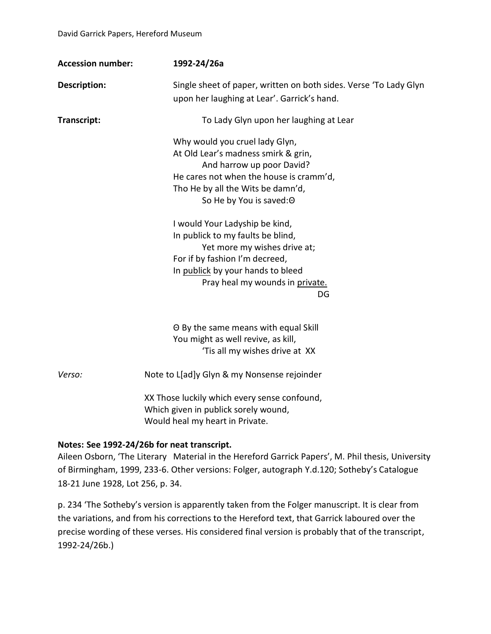| <b>Accession number:</b> | 1992-24/26a                                                                                                                                                                                                                                                                                                                                                                                                                           |
|--------------------------|---------------------------------------------------------------------------------------------------------------------------------------------------------------------------------------------------------------------------------------------------------------------------------------------------------------------------------------------------------------------------------------------------------------------------------------|
| Description:             | Single sheet of paper, written on both sides. Verse 'To Lady Glyn<br>upon her laughing at Lear'. Garrick's hand.                                                                                                                                                                                                                                                                                                                      |
| Transcript:              | To Lady Glyn upon her laughing at Lear                                                                                                                                                                                                                                                                                                                                                                                                |
|                          | Why would you cruel lady Glyn,<br>At Old Lear's madness smirk & grin,<br>And harrow up poor David?<br>He cares not when the house is cramm'd,<br>Tho He by all the Wits be damn'd,<br>So He by You is saved: O<br>I would Your Ladyship be kind,<br>In publick to my faults be blind,<br>Yet more my wishes drive at;<br>For if by fashion I'm decreed,<br>In publick by your hands to bleed<br>Pray heal my wounds in private.<br>DG |
|                          | O By the same means with equal Skill<br>You might as well revive, as kill,<br>'Tis all my wishes drive at XX                                                                                                                                                                                                                                                                                                                          |
| Verso:                   | Note to L[ad]y Glyn & my Nonsense rejoinder                                                                                                                                                                                                                                                                                                                                                                                           |
|                          | XX Those luckily which every sense confound,                                                                                                                                                                                                                                                                                                                                                                                          |

Which given in publick sorely wound, Would heal my heart in Private.

## **Notes: See 1992-24/26b for neat transcript.**

Aileen Osborn, 'The Literary Material in the Hereford Garrick Papers', M. Phil thesis, University of Birmingham, 1999, 233-6. Other versions: Folger, autograph Y.d.120; Sotheby's Catalogue 18-21 June 1928, Lot 256, p. 34.

p. 234 'The Sotheby's version is apparently taken from the Folger manuscript. It is clear from the variations, and from his corrections to the Hereford text, that Garrick laboured over the precise wording of these verses. His considered final version is probably that of the transcript, 1992-24/26b.)